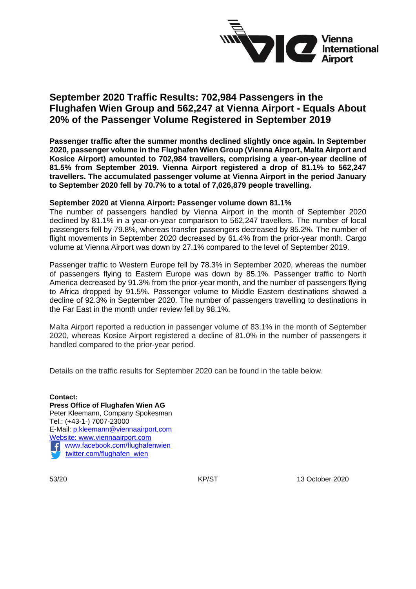

## **September 2020 Traffic Results: 702,984 Passengers in the Flughafen Wien Group and 562,247 at Vienna Airport - Equals About 20% of the Passenger Volume Registered in September 2019**

**Passenger traffic after the summer months declined slightly once again. In September 2020, passenger volume in the Flughafen Wien Group (Vienna Airport, Malta Airport and Kosice Airport) amounted to 702,984 travellers, comprising a year-on-year decline of 81.5% from September 2019. Vienna Airport registered a drop of 81.1% to 562,247 travellers. The accumulated passenger volume at Vienna Airport in the period January to September 2020 fell by 70.7% to a total of 7,026,879 people travelling.** 

#### **September 2020 at Vienna Airport: Passenger volume down 81.1%**

The number of passengers handled by Vienna Airport in the month of September 2020 declined by 81.1% in a year-on-year comparison to 562,247 travellers. The number of local passengers fell by 79.8%, whereas transfer passengers decreased by 85.2%. The number of flight movements in September 2020 decreased by 61.4% from the prior-year month. Cargo volume at Vienna Airport was down by 27.1% compared to the level of September 2019.

Passenger traffic to Western Europe fell by 78.3% in September 2020, whereas the number of passengers flying to Eastern Europe was down by 85.1%. Passenger traffic to North America decreased by 91.3% from the prior-year month, and the number of passengers flying to Africa dropped by 91.5%. Passenger volume to Middle Eastern destinations showed a decline of 92.3% in September 2020. The number of passengers travelling to destinations in the Far East in the month under review fell by 98.1%.

Malta Airport reported a reduction in passenger volume of 83.1% in the month of September 2020, whereas Kosice Airport registered a decline of 81.0% in the number of passengers it handled compared to the prior-year period.

Details on the traffic results for September 2020 can be found in the table below.

**Contact: Press Office of Flughafen Wien AG** Peter Kleemann, Company Spokesman Tel.: (+43-1-) 7007-23000 E-Mail: [p.kleemann@viennaairport.com](mailto:p.kleemann@viennaairport.com) Website: [www.viennaairport.com](http://www.viennaairport.com/) [www.facebook.com/flughafenwien](http://www.facebook.com/flughafenwien)  [twitter.com/flughafen\\_wien](file://///SVIE93SHR1/M/PRESSEDIENSTE/2019/Entwürfe/Verkehr/November/twitter.com/flughafen_wien)

53/20 **KP/ST** KP/ST 13 October 2020